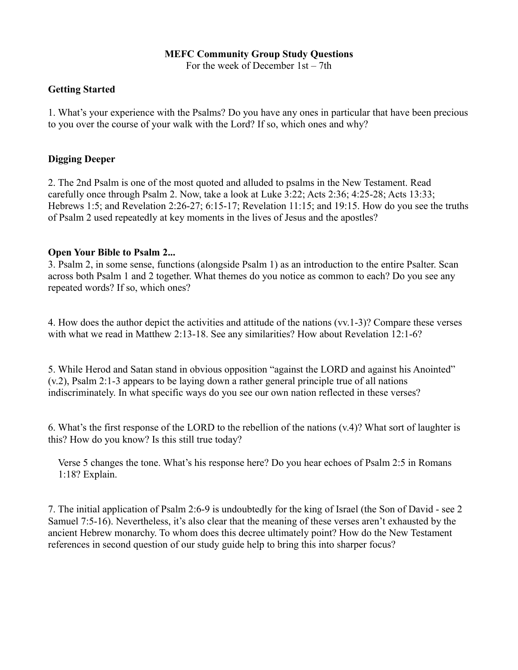## **MEFC Community Group Study Questions**

For the week of December 1st – 7th

## **Getting Started**

1. What's your experience with the Psalms? Do you have any ones in particular that have been precious to you over the course of your walk with the Lord? If so, which ones and why?

## **Digging Deeper**

2. The 2nd Psalm is one of the most quoted and alluded to psalms in the New Testament. Read carefully once through Psalm 2. Now, take a look at Luke 3:22; Acts 2:36; 4:25-28; Acts 13:33; Hebrews 1:5; and Revelation 2:26-27; 6:15-17; Revelation 11:15; and 19:15. How do you see the truths of Psalm 2 used repeatedly at key moments in the lives of Jesus and the apostles?

## **Open Your Bible to Psalm 2...**

3. Psalm 2, in some sense, functions (alongside Psalm 1) as an introduction to the entire Psalter. Scan across both Psalm 1 and 2 together. What themes do you notice as common to each? Do you see any repeated words? If so, which ones?

4. How does the author depict the activities and attitude of the nations (vv.1-3)? Compare these verses with what we read in Matthew 2:13-18. See any similarities? How about Revelation 12:1-6?

5. While Herod and Satan stand in obvious opposition "against the LORD and against his Anointed" (v.2), Psalm 2:1-3 appears to be laying down a rather general principle true of all nations indiscriminately. In what specific ways do you see our own nation reflected in these verses?

6. What's the first response of the LORD to the rebellion of the nations (v.4)? What sort of laughter is this? How do you know? Is this still true today?

 Verse 5 changes the tone. What's his response here? Do you hear echoes of Psalm 2:5 in Romans 1:18? Explain.

7. The initial application of Psalm 2:6-9 is undoubtedly for the king of Israel (the Son of David - see 2 Samuel 7:5-16). Nevertheless, it's also clear that the meaning of these verses aren't exhausted by the ancient Hebrew monarchy. To whom does this decree ultimately point? How do the New Testament references in second question of our study guide help to bring this into sharper focus?